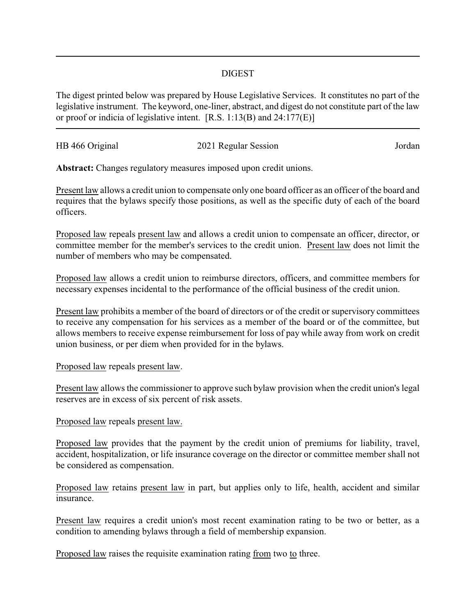## DIGEST

The digest printed below was prepared by House Legislative Services. It constitutes no part of the legislative instrument. The keyword, one-liner, abstract, and digest do not constitute part of the law or proof or indicia of legislative intent. [R.S. 1:13(B) and 24:177(E)]

| HB 466 Original | 2021 Regular Session | Jordan |
|-----------------|----------------------|--------|
|                 |                      |        |

**Abstract:** Changes regulatory measures imposed upon credit unions.

Present law allows a credit union to compensate only one board officer as an officer of the board and requires that the bylaws specify those positions, as well as the specific duty of each of the board officers.

Proposed law repeals present law and allows a credit union to compensate an officer, director, or committee member for the member's services to the credit union. Present law does not limit the number of members who may be compensated.

Proposed law allows a credit union to reimburse directors, officers, and committee members for necessary expenses incidental to the performance of the official business of the credit union.

Present law prohibits a member of the board of directors or of the credit or supervisory committees to receive any compensation for his services as a member of the board or of the committee, but allows members to receive expense reimbursement for loss of pay while away from work on credit union business, or per diem when provided for in the bylaws.

## Proposed law repeals present law.

Present law allows the commissioner to approve such bylaw provision when the credit union's legal reserves are in excess of six percent of risk assets.

## Proposed law repeals present law.

Proposed law provides that the payment by the credit union of premiums for liability, travel, accident, hospitalization, or life insurance coverage on the director or committee member shall not be considered as compensation.

Proposed law retains present law in part, but applies only to life, health, accident and similar insurance.

Present law requires a credit union's most recent examination rating to be two or better, as a condition to amending bylaws through a field of membership expansion.

Proposed law raises the requisite examination rating from two to three.